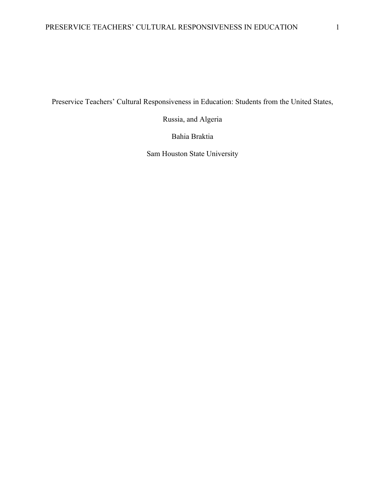Preservice Teachers' Cultural Responsiveness in Education: Students from the United States,

Russia, and Algeria

Bahia Braktia

Sam Houston State University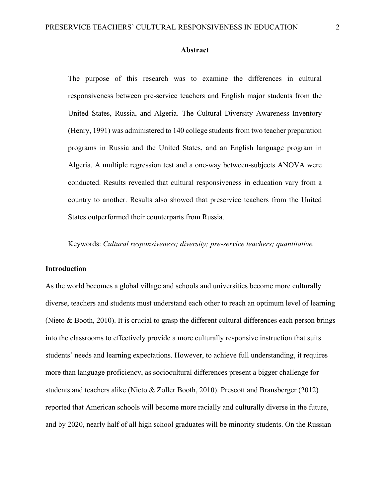#### **Abstract**

The purpose of this research was to examine the differences in cultural responsiveness between pre-service teachers and English major students from the United States, Russia, and Algeria. The Cultural Diversity Awareness Inventory (Henry, 1991) was administered to 140 college students from two teacher preparation programs in Russia and the United States, and an English language program in Algeria. A multiple regression test and a one-way between-subjects ANOVA were conducted. Results revealed that cultural responsiveness in education vary from a country to another. Results also showed that preservice teachers from the United States outperformed their counterparts from Russia.

Keywords: *Cultural responsiveness; diversity; pre-service teachers; quantitative.*

### **Introduction**

As the world becomes a global village and schools and universities become more culturally diverse, teachers and students must understand each other to reach an optimum level of learning (Nieto & Booth, 2010). It is crucial to grasp the different cultural differences each person brings into the classrooms to effectively provide a more culturally responsive instruction that suits students' needs and learning expectations. However, to achieve full understanding, it requires more than language proficiency, as sociocultural differences present a bigger challenge for students and teachers alike (Nieto & Zoller Booth, 2010). Prescott and Bransberger (2012) reported that American schools will become more racially and culturally diverse in the future, and by 2020, nearly half of all high school graduates will be minority students. On the Russian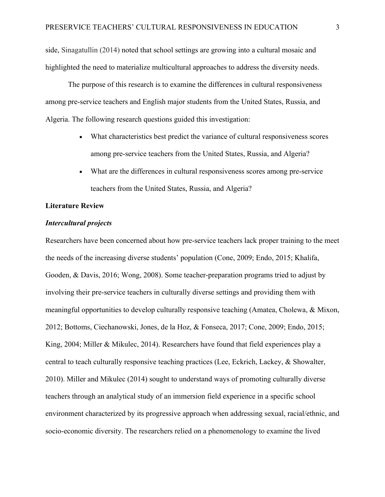side, Sinagatullin (2014) noted that school settings are growing into a cultural mosaic and highlighted the need to materialize multicultural approaches to address the diversity needs.

The purpose of this research is to examine the differences in cultural responsiveness among pre-service teachers and English major students from the United States, Russia, and Algeria. The following research questions guided this investigation:

- What characteristics best predict the variance of cultural responsiveness scores among pre-service teachers from the United States, Russia, and Algeria?
- What are the differences in cultural responsiveness scores among pre-service teachers from the United States, Russia, and Algeria?

## **Literature Review**

## *Intercultural projects*

Researchers have been concerned about how pre-service teachers lack proper training to the meet the needs of the increasing diverse students' population (Cone, 2009; Endo, 2015; Khalifa, Gooden, & Davis, 2016; Wong, 2008). Some teacher-preparation programs tried to adjust by involving their pre-service teachers in culturally diverse settings and providing them with meaningful opportunities to develop culturally responsive teaching (Amatea, Cholewa, & Mixon, 2012; Bottoms, Ciechanowski, Jones, de la Hoz, & Fonseca, 2017; Cone, 2009; Endo, 2015; King, 2004; Miller & Mikulec, 2014). Researchers have found that field experiences play a central to teach culturally responsive teaching practices (Lee, Eckrich, Lackey, & Showalter, 2010). Miller and Mikulec (2014) sought to understand ways of promoting culturally diverse teachers through an analytical study of an immersion field experience in a specific school environment characterized by its progressive approach when addressing sexual, racial/ethnic, and socio-economic diversity. The researchers relied on a phenomenology to examine the lived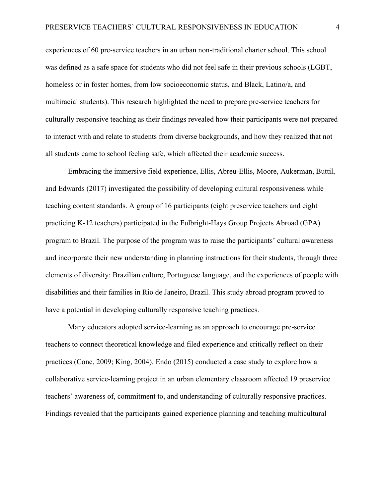experiences of 60 pre-service teachers in an urban non-traditional charter school. This school was defined as a safe space for students who did not feel safe in their previous schools (LGBT, homeless or in foster homes, from low socioeconomic status, and Black, Latino/a, and multiracial students). This research highlighted the need to prepare pre-service teachers for culturally responsive teaching as their findings revealed how their participants were not prepared to interact with and relate to students from diverse backgrounds, and how they realized that not all students came to school feeling safe, which affected their academic success.

Embracing the immersive field experience, Ellis, Abreu-Ellis, Moore, Aukerman, Buttil, and Edwards (2017) investigated the possibility of developing cultural responsiveness while teaching content standards. A group of 16 participants (eight preservice teachers and eight practicing K-12 teachers) participated in the Fulbright-Hays Group Projects Abroad (GPA) program to Brazil. The purpose of the program was to raise the participants' cultural awareness and incorporate their new understanding in planning instructions for their students, through three elements of diversity: Brazilian culture, Portuguese language, and the experiences of people with disabilities and their families in Rio de Janeiro, Brazil. This study abroad program proved to have a potential in developing culturally responsive teaching practices.

Many educators adopted service-learning as an approach to encourage pre-service teachers to connect theoretical knowledge and filed experience and critically reflect on their practices (Cone, 2009; King, 2004). Endo (2015) conducted a case study to explore how a collaborative service-learning project in an urban elementary classroom affected 19 preservice teachers' awareness of, commitment to, and understanding of culturally responsive practices. Findings revealed that the participants gained experience planning and teaching multicultural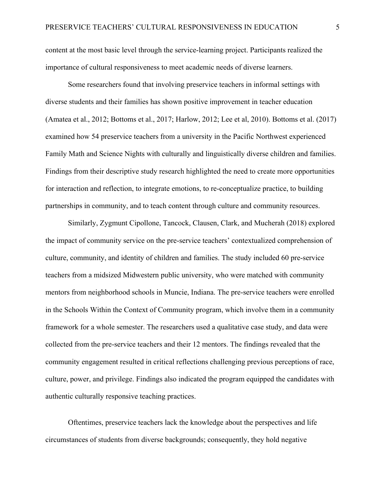content at the most basic level through the service-learning project. Participants realized the importance of cultural responsiveness to meet academic needs of diverse learners.

Some researchers found that involving preservice teachers in informal settings with diverse students and their families has shown positive improvement in teacher education (Amatea et al., 2012; Bottoms et al., 2017; Harlow, 2012; Lee et al, 2010). Bottoms et al. (2017) examined how 54 preservice teachers from a university in the Pacific Northwest experienced Family Math and Science Nights with culturally and linguistically diverse children and families. Findings from their descriptive study research highlighted the need to create more opportunities for interaction and reflection, to integrate emotions, to re-conceptualize practice, to building partnerships in community, and to teach content through culture and community resources.

Similarly, Zygmunt Cipollone, Tancock, Clausen, Clark, and Mucherah (2018) explored the impact of community service on the pre-service teachers' contextualized comprehension of culture, community, and identity of children and families. The study included 60 pre-service teachers from a midsized Midwestern public university, who were matched with community mentors from neighborhood schools in Muncie, Indiana. The pre-service teachers were enrolled in the Schools Within the Context of Community program, which involve them in a community framework for a whole semester. The researchers used a qualitative case study, and data were collected from the pre-service teachers and their 12 mentors. The findings revealed that the community engagement resulted in critical reflections challenging previous perceptions of race, culture, power, and privilege. Findings also indicated the program equipped the candidates with authentic culturally responsive teaching practices.

Oftentimes, preservice teachers lack the knowledge about the perspectives and life circumstances of students from diverse backgrounds; consequently, they hold negative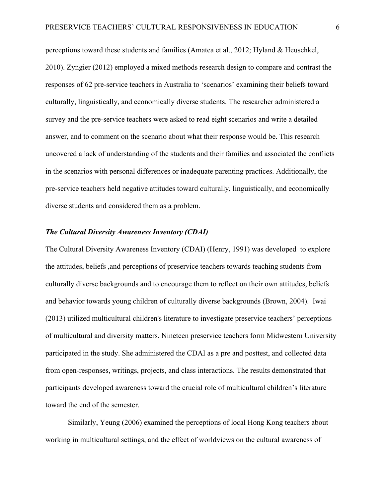perceptions toward these students and families (Amatea et al., 2012; Hyland & Heuschkel, 2010). Zyngier (2012) employed a mixed methods research design to compare and contrast the responses of 62 pre-service teachers in Australia to 'scenarios' examining their beliefs toward culturally, linguistically, and economically diverse students. The researcher administered a survey and the pre-service teachers were asked to read eight scenarios and write a detailed answer, and to comment on the scenario about what their response would be. This research uncovered a lack of understanding of the students and their families and associated the conflicts in the scenarios with personal differences or inadequate parenting practices. Additionally, the pre-service teachers held negative attitudes toward culturally, linguistically, and economically diverse students and considered them as a problem.

#### *The Cultural Diversity Awareness Inventory (CDAI)*

The Cultural Diversity Awareness Inventory (CDAI) (Henry, 1991) was developed to explore the attitudes, beliefs ,and perceptions of preservice teachers towards teaching students from culturally diverse backgrounds and to encourage them to reflect on their own attitudes, beliefs and behavior towards young children of culturally diverse backgrounds (Brown, 2004). Iwai (2013) utilized multicultural children's literature to investigate preservice teachers' perceptions of multicultural and diversity matters. Nineteen preservice teachers form Midwestern University participated in the study. She administered the CDAI as a pre and posttest, and collected data from open-responses, writings, projects, and class interactions. The results demonstrated that participants developed awareness toward the crucial role of multicultural children's literature toward the end of the semester.

Similarly, Yeung (2006) examined the perceptions of local Hong Kong teachers about working in multicultural settings, and the effect of worldviews on the cultural awareness of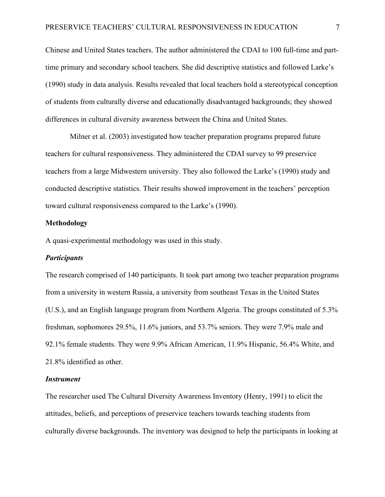Chinese and United States teachers. The author administered the CDAI to 100 full-time and parttime primary and secondary school teachers. She did descriptive statistics and followed Larke's (1990) study in data analysis. Results revealed that local teachers hold a stereotypical conception of students from culturally diverse and educationally disadvantaged backgrounds; they showed differences in cultural diversity awareness between the China and United States.

Milner et al. (2003) investigated how teacher preparation programs prepared future teachers for cultural responsiveness. They administered the CDAI survey to 99 preservice teachers from a large Midwestern university. They also followed the Larke's (1990) study and conducted descriptive statistics. Their results showed improvement in the teachers' perception toward cultural responsiveness compared to the Larke's (1990).

### **Methodology**

A quasi-experimental methodology was used in this study.

#### *Participants*

The research comprised of 140 participants. It took part among two teacher preparation programs from a university in western Russia, a university from southeast Texas in the United States (U.S.), and an English language program from Northern Algeria. The groups constituted of 5.3% freshman, sophomores 29.5%, 11.6% juniors, and 53.7% seniors. They were 7.9% male and 92.1% female students. They were 9.9% African American, 11.9% Hispanic, 56.4% White, and 21.8% identified as other.

### *Instrument*

The researcher used The Cultural Diversity Awareness Inventory (Henry, 1991) to elicit the attitudes, beliefs, and perceptions of preservice teachers towards teaching students from culturally diverse backgrounds. The inventory was designed to help the participants in looking at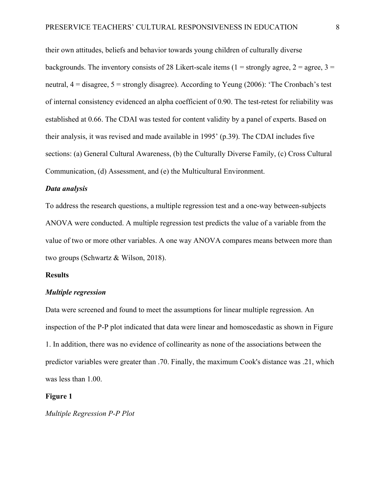their own attitudes, beliefs and behavior towards young children of culturally diverse backgrounds. The inventory consists of 28 Likert-scale items (1 = strongly agree, 2 = agree, 3 = neutral,  $4 =$  disagree,  $5 =$  strongly disagree). According to Yeung (2006): 'The Cronbach's test of internal consistency evidenced an alpha coefficient of 0.90. The test-retest for reliability was established at 0.66. The CDAI was tested for content validity by a panel of experts. Based on their analysis, it was revised and made available in 1995' (p.39). The CDAI includes five sections: (a) General Cultural Awareness, (b) the Culturally Diverse Family, (c) Cross Cultural Communication, (d) Assessment, and (e) the Multicultural Environment.

### *Data analysis*

To address the research questions, a multiple regression test and a one-way between-subjects ANOVA were conducted. A multiple regression test predicts the value of a variable from the value of two or more other variables. A one way ANOVA compares means between more than two groups (Schwartz & Wilson, 2018).

#### **Results**

### *Multiple regression*

Data were screened and found to meet the assumptions for linear multiple regression. An inspection of the P-P plot indicated that data were linear and homoscedastic as shown in Figure 1. In addition, there was no evidence of collinearity as none of the associations between the predictor variables were greater than .70. Finally, the maximum Cook's distance was .21, which was less than 1.00.

### **Figure 1**

*Multiple Regression P-P Plot*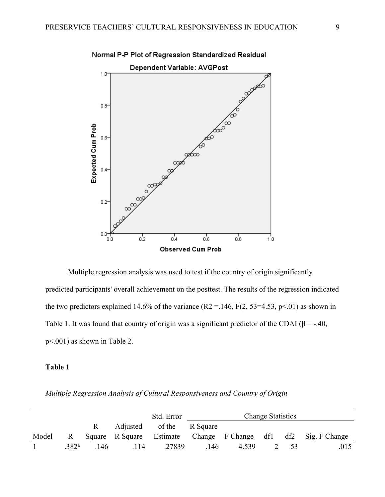



Multiple regression analysis was used to test if the country of origin significantly predicted participants' overall achievement on the posttest. The results of the regression indicated the two predictors explained 14.6% of the variance (R2 = 146, F(2, 53=4.53, p<.01) as shown in Table 1. It was found that country of origin was a significant predictor of the CDAI ( $\beta$  = -.40, p<.001) as shown in Table 2.

# **Table 1**

| Multiple Regression Analysis of Cultural Responsiveness and Country of Origin |  |  |  |
|-------------------------------------------------------------------------------|--|--|--|
|                                                                               |  |  |  |

|                |                   |     |                          | Std. Error | <b>Change Statistics</b> |                     |  |     |               |
|----------------|-------------------|-----|--------------------------|------------|--------------------------|---------------------|--|-----|---------------|
|                |                   |     | Adjusted                 | of the     | R Square                 |                     |  |     |               |
| Model          |                   |     | Square R Square Estimate |            |                          | Change F Change df1 |  | df2 | Sig. F Change |
| $\overline{1}$ | .382 <sup>a</sup> | 146 | 114                      | .27839     | .146                     | 4.539               |  | -53 | .015          |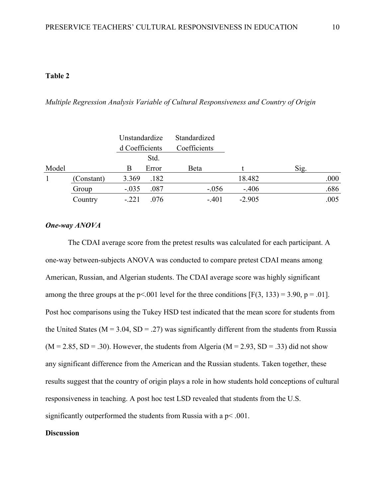# **Table 2**

*Multiple Regression Analysis Variable of Cultural Responsiveness and Country of Origin*

|       |            | Unstandardize  |       | Standardized |          |      |
|-------|------------|----------------|-------|--------------|----------|------|
|       |            | d Coefficients |       | Coefficients |          |      |
|       |            |                | Std.  |              |          |      |
| Model |            | В              | Error | Beta         |          | Sig. |
|       | (Constant) | 3.369          | .182  |              | 18.482   | .000 |
|       | Group      | $-.035$        | .087  | $-.056$      | $-.406$  | .686 |
|       | Country    | $-.221$        | .076  | $-.401$      | $-2.905$ | .005 |

# *One-way ANOVA*

The CDAI average score from the pretest results was calculated for each participant. A one-way between-subjects ANOVA was conducted to compare pretest CDAI means among American, Russian, and Algerian students. The CDAI average score was highly significant among the three groups at the  $p<.001$  level for the three conditions [F(3, 133) = 3.90,  $p = .01$ ]. Post hoc comparisons using the Tukey HSD test indicated that the mean score for students from the United States ( $M = 3.04$ ,  $SD = .27$ ) was significantly different from the students from Russia  $(M = 2.85, SD = .30)$ . However, the students from Algeria  $(M = 2.93, SD = .33)$  did not show any significant difference from the American and the Russian students. Taken together, these results suggest that the country of origin plays a role in how students hold conceptions of cultural responsiveness in teaching. A post hoc test LSD revealed that students from the U.S. significantly outperformed the students from Russia with a  $p < .001$ .

## **Discussion**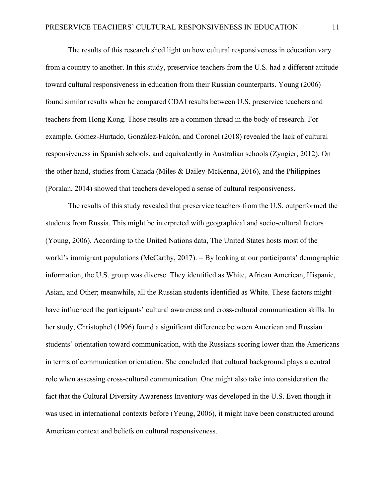The results of this research shed light on how cultural responsiveness in education vary from a country to another. In this study, preservice teachers from the U.S. had a different attitude toward cultural responsiveness in education from their Russian counterparts. Young (2006) found similar results when he compared CDAI results between U.S. preservice teachers and teachers from Hong Kong. Those results are a common thread in the body of research. For example, Gómez-Hurtado, González-Falcón, and Coronel (2018) revealed the lack of cultural responsiveness in Spanish schools, and equivalently in Australian schools (Zyngier, 2012). On the other hand, studies from Canada (Miles & Bailey-McKenna, 2016), and the Philippines (Poralan, 2014) showed that teachers developed a sense of cultural responsiveness.

The results of this study revealed that preservice teachers from the U.S. outperformed the students from Russia. This might be interpreted with geographical and socio-cultural factors (Young, 2006). According to the United Nations data, The United States hosts most of the world's immigrant populations (McCarthy, 2017). = By looking at our participants' demographic information, the U.S. group was diverse. They identified as White, African American, Hispanic, Asian, and Other; meanwhile, all the Russian students identified as White. These factors might have influenced the participants' cultural awareness and cross-cultural communication skills. In her study, Christophel (1996) found a significant difference between American and Russian students' orientation toward communication, with the Russians scoring lower than the Americans in terms of communication orientation. She concluded that cultural background plays a central role when assessing cross-cultural communication. One might also take into consideration the fact that the Cultural Diversity Awareness Inventory was developed in the U.S. Even though it was used in international contexts before (Yeung, 2006), it might have been constructed around American context and beliefs on cultural responsiveness.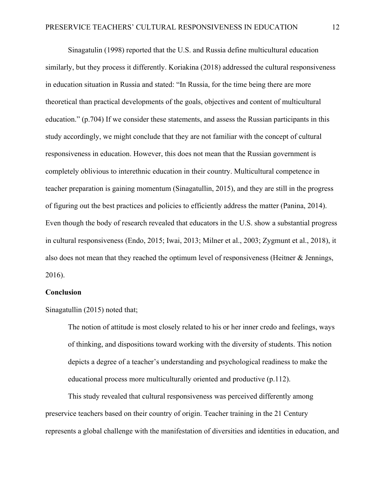Sinagatulin (1998) reported that the U.S. and Russia define multicultural education similarly, but they process it differently. Koriakina (2018) addressed the cultural responsiveness in education situation in Russia and stated: "In Russia, for the time being there are more theoretical than practical developments of the goals, objectives and content of multicultural education." (p.704) If we consider these statements, and assess the Russian participants in this study accordingly, we might conclude that they are not familiar with the concept of cultural responsiveness in education. However, this does not mean that the Russian government is completely oblivious to interethnic education in their country. Multicultural competence in teacher preparation is gaining momentum (Sinagatullin, 2015), and they are still in the progress of figuring out the best practices and policies to efficiently address the matter (Panina, 2014). Even though the body of research revealed that educators in the U.S. show a substantial progress in cultural responsiveness (Endo, 2015; Iwai, 2013; Milner et al., 2003; Zygmunt et al., 2018), it also does not mean that they reached the optimum level of responsiveness (Heitner  $\&$  Jennings, 2016).

## **Conclusion**

Sinagatullin (2015) noted that;

The notion of attitude is most closely related to his or her inner credo and feelings, ways of thinking, and dispositions toward working with the diversity of students. This notion depicts a degree of a teacher's understanding and psychological readiness to make the educational process more multiculturally oriented and productive (p.112).

This study revealed that cultural responsiveness was perceived differently among preservice teachers based on their country of origin. Teacher training in the 21 Century represents a global challenge with the manifestation of diversities and identities in education, and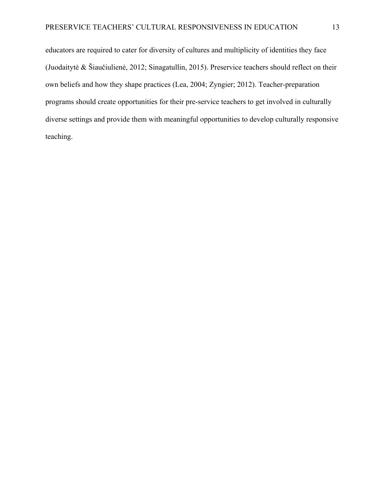educators are required to cater for diversity of cultures and multiplicity of identities they face (Juodaitytė & Šiaučiulienė, 2012; Sinagatullin, 2015). Preservice teachers should reflect on their own beliefs and how they shape practices (Lea, 2004; Zyngier; 2012). Teacher-preparation programs should create opportunities for their pre-service teachers to get involved in culturally diverse settings and provide them with meaningful opportunities to develop culturally responsive teaching.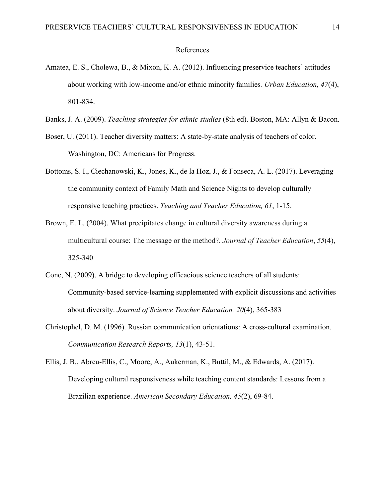#### References

- Amatea, E. S., Cholewa, B., & Mixon, K. A. (2012). Influencing preservice teachers' attitudes about working with low-income and/or ethnic minority families*. Urban Education, 47*(4), 801-834.
- Banks, J. A. (2009). *Teaching strategies for ethnic studies* (8th ed). Boston, MA: Allyn & Bacon.
- Boser, U. (2011). Teacher diversity matters: A state-by-state analysis of teachers of color. Washington, DC: Americans for Progress.
- Bottoms, S. I., Ciechanowski, K., Jones, K., de la Hoz, J., & Fonseca, A. L. (2017). Leveraging the community context of Family Math and Science Nights to develop culturally responsive teaching practices. *Teaching and Teacher Education, 61*, 1-15.
- Brown, E. L. (2004). What precipitates change in cultural diversity awareness during a multicultural course: The message or the method?. *Journal of Teacher Education*, *55*(4), 325-340
- Cone, N. (2009). A bridge to developing efficacious science teachers of all students: Community-based service-learning supplemented with explicit discussions and activities about diversity. *Journal of Science Teacher Education, 20*(4), 365-383
- Christophel, D. M. (1996). Russian communication orientations: A cross‐cultural examination. *Communication Research Reports, 13*(1), 43-51.
- Ellis, J. B., Abreu-Ellis, C., Moore, A., Aukerman, K., Buttil, M., & Edwards, A. (2017). Developing cultural responsiveness while teaching content standards: Lessons from a Brazilian experience. *American Secondary Education, 45*(2), 69-84.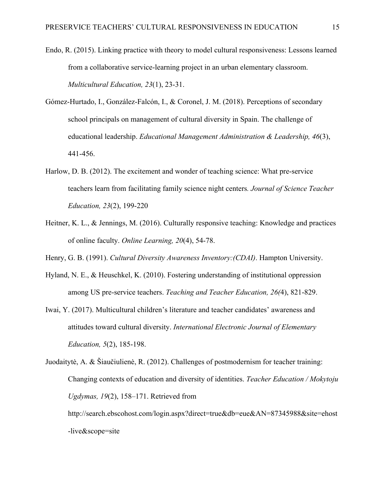- Endo, R. (2015). Linking practice with theory to model cultural responsiveness: Lessons learned from a collaborative service-learning project in an urban elementary classroom. *Multicultural Education, 23*(1), 23-31.
- Gómez-Hurtado, I., González-Falcón, I., & Coronel, J. M. (2018). Perceptions of secondary school principals on management of cultural diversity in Spain. The challenge of educational leadership. *Educational Management Administration & Leadership, 46*(3), 441-456.
- Harlow, D. B. (2012). The excitement and wonder of teaching science: What pre-service teachers learn from facilitating family science night centers*. Journal of Science Teacher Education, 23*(2), 199-220
- Heitner, K. L., & Jennings, M. (2016). Culturally responsive teaching: Knowledge and practices of online faculty. *Online Learning, 20*(4), 54-78.
- Henry, G. B. (1991). *Cultural Diversity Awareness Inventory:(CDAI)*. Hampton University.
- Hyland, N. E., & Heuschkel, K. (2010). Fostering understanding of institutional oppression among US pre-service teachers. *Teaching and Teacher Education, 26(*4), 821-829.
- Iwai, Y. (2017). Multicultural children's literature and teacher candidates' awareness and attitudes toward cultural diversity. *International Electronic Journal of Elementary Education, 5*(2), 185-198.

http://search.ebscohost.com/login.aspx?direct=true&db=eue&AN=87345988&site=ehost -live&scope=site

Juodaitytė, A. & Šiaučiulienė, R. (2012). Challenges of postmodernism for teacher training: Changing contexts of education and diversity of identities. *Teacher Education / Mokytoju Ugdymas, 19*(2), 158–171. Retrieved from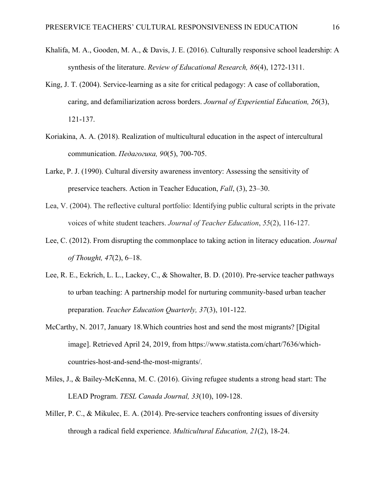- Khalifa, M. A., Gooden, M. A., & Davis, J. E. (2016). Culturally responsive school leadership: A synthesis of the literature. *Review of Educational Research, 86*(4), 1272-1311.
- King, J. T. (2004). Service-learning as a site for critical pedagogy: A case of collaboration, caring, and defamiliarization across borders. *Journal of Experiential Education, 26*(3), 121-137.
- Koriakina, A. A. (2018). Realization of multicultural education in the aspect of intercultural communication. *Педагогика, 90*(5), 700-705.
- Larke, P. J. (1990). Cultural diversity awareness inventory: Assessing the sensitivity of preservice teachers. Action in Teacher Education, *Fall*, (3), 23–30.
- Lea, V. (2004). The reflective cultural portfolio: Identifying public cultural scripts in the private voices of white student teachers. *Journal of Teacher Education*, *55*(2), 116-127.
- Lee, C. (2012). From disrupting the commonplace to taking action in literacy education. *Journal of Thought, 47*(2), 6–18.
- Lee, R. E., Eckrich, L. L., Lackey, C., & Showalter, B. D. (2010). Pre-service teacher pathways to urban teaching: A partnership model for nurturing community-based urban teacher preparation. *Teacher Education Quarterly, 37*(3), 101-122.
- McCarthy, N. 2017, January 18.Which countries host and send the most migrants? [Digital image]. Retrieved April 24, 2019, from https://www.statista.com/chart/7636/whichcountries-host-and-send-the-most-migrants/.
- Miles, J., & Bailey-McKenna, M. C. (2016). Giving refugee students a strong head start: The LEAD Program. *TESL Canada Journal, 33*(10), 109-128.
- Miller, P. C., & Mikulec, E. A. (2014). Pre-service teachers confronting issues of diversity through a radical field experience. *Multicultural Education, 21*(2), 18-24.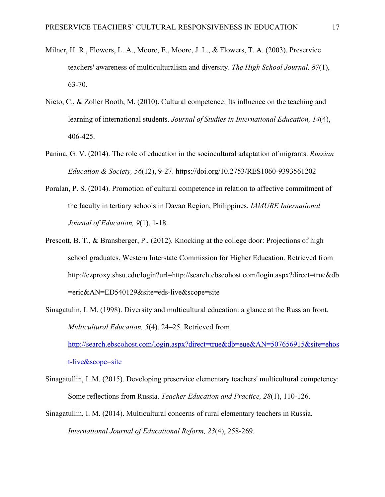- Milner, H. R., Flowers, L. A., Moore, E., Moore, J. L., & Flowers, T. A. (2003). Preservice teachers' awareness of multiculturalism and diversity. *The High School Journal, 87*(1), 63-70.
- Nieto, C., & Zoller Booth, M. (2010). Cultural competence: Its influence on the teaching and learning of international students. *Journal of Studies in International Education, 14*(4), 406-425.
- Panina, G. V. (2014). The role of education in the sociocultural adaptation of migrants. *Russian Education & Society, 56*(12), 9-27. https://doi.org/10.2753/RES1060-9393561202
- Poralan, P. S. (2014). Promotion of cultural competence in relation to affective commitment of the faculty in tertiary schools in Davao Region, Philippines. *IAMURE International Journal of Education, 9*(1), 1-18.
- Prescott, B. T., & Bransberger, P., (2012). Knocking at the college door: Projections of high school graduates. Western Interstate Commission for Higher Education. Retrieved from http://ezproxy.shsu.edu/login?url=http://search.ebscohost.com/login.aspx?direct=true&db =eric&AN=ED540129&site=eds-live&scope=site
- Sinagatulin, I. M. (1998). Diversity and multicultural education: a glance at the Russian front. *Multicultural Education, 5*(4), 24–25. Retrieved from http://search.ebscohost.com/login.aspx?direct=true&db=eue&AN=507656915&site=ehos t-live&scope=site
- Sinagatullin, I. M. (2015). Developing preservice elementary teachers' multicultural competency: Some reflections from Russia. *Teacher Education and Practice, 28*(1), 110-126.
- Sinagatullin, I. M. (2014). Multicultural concerns of rural elementary teachers in Russia. *International Journal of Educational Reform, 23*(4), 258-269.